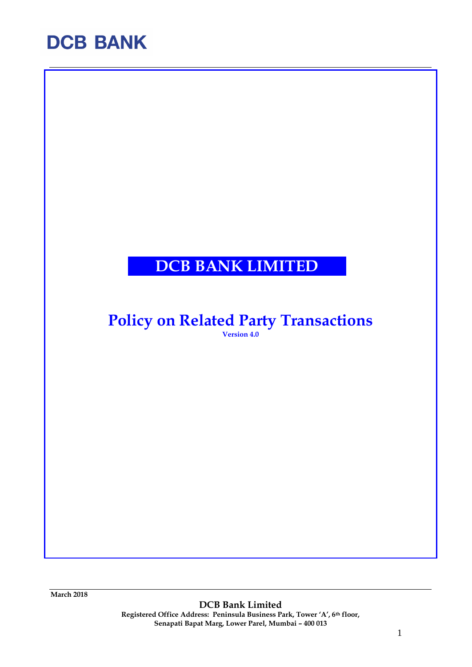### **DCB BANK LIMITED**

### **Policy on Related Party Transactions**

**Version 4.0**

**March 2018**

**DCB Bank Limited Registered Office Address: Peninsula Business Park, Tower 'A', 6th floor, Senapati Bapat Marg, Lower Parel, Mumbai – 400 013**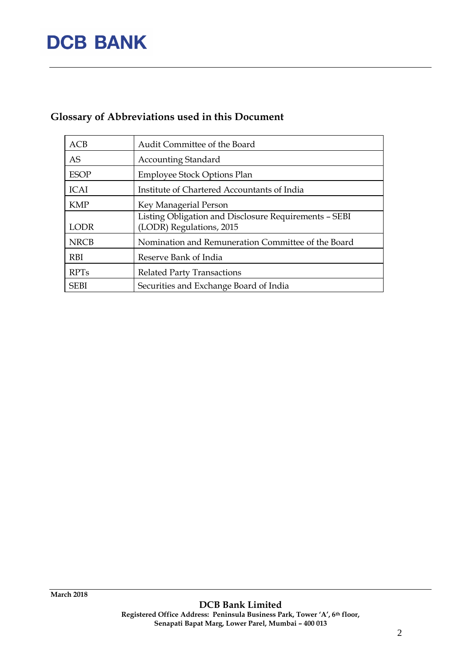### **Glossary of Abbreviations used in this Document**

| ACB         | Audit Committee of the Board                                                      |
|-------------|-----------------------------------------------------------------------------------|
| AS          | <b>Accounting Standard</b>                                                        |
| <b>ESOP</b> | <b>Employee Stock Options Plan</b>                                                |
| <b>ICAI</b> | Institute of Chartered Accountants of India                                       |
| <b>KMP</b>  | Key Managerial Person                                                             |
| <b>LODR</b> | Listing Obligation and Disclosure Requirements - SEBI<br>(LODR) Regulations, 2015 |
| <b>NRCB</b> | Nomination and Remuneration Committee of the Board                                |
| <b>RBI</b>  | Reserve Bank of India                                                             |
| <b>RPTs</b> | <b>Related Party Transactions</b>                                                 |
| <b>SEBI</b> | Securities and Exchange Board of India                                            |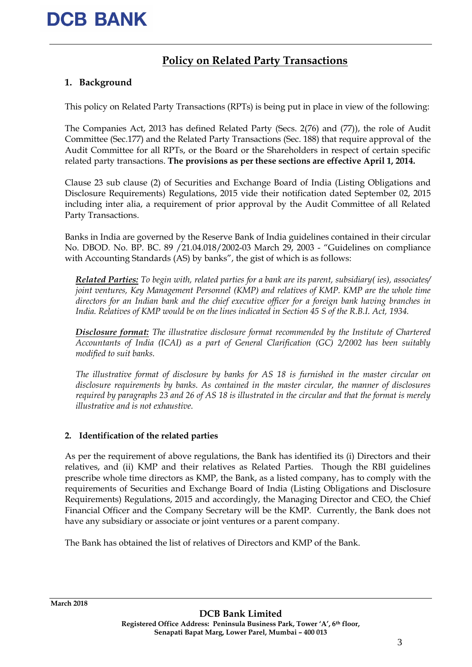### **Policy on Related Party Transactions**

#### **1. Background**

This policy on Related Party Transactions (RPTs) is being put in place in view of the following:

The Companies Act, 2013 has defined Related Party (Secs. 2(76) and (77)), the role of Audit Committee (Sec.177) and the Related Party Transactions (Sec. 188) that require approval of the Audit Committee for all RPTs, or the Board or the Shareholders in respect of certain specific related party transactions. **The provisions as per these sections are effective April 1, 2014.**

Clause 23 sub clause (2) of Securities and Exchange Board of India (Listing Obligations and Disclosure Requirements) Regulations, 2015 vide their notification dated September 02, 2015 including inter alia, a requirement of prior approval by the Audit Committee of all Related Party Transactions.

Banks in India are governed by the Reserve Bank of India guidelines contained in their circular No. DBOD. No. BP. BC. 89 /21.04.018/2002-03 March 29, 2003 - "Guidelines on compliance with Accounting Standards (AS) by banks", the gist of which is as follows:

*Related Parties: To begin with, related parties for a bank are its parent, subsidiary( ies), associates/ joint ventures, Key Management Personnel (KMP) and relatives of KMP. KMP are the whole time directors for an Indian bank and the chief executive officer for a foreign bank having branches in India. Relatives of KMP would be on the lines indicated in Section 45 S of the R.B.I. Act, 1934.*

*Disclosure format: The illustrative disclosure format recommended by the Institute of Chartered Accountants of India (ICAI) as a part of General Clarification (GC) 2/2002 has been suitably modified to suit banks.* 

*The illustrative format of disclosure by banks for AS 18 is furnished in the master circular on disclosure requirements by banks. As contained in the master circular, the manner of disclosures required by paragraphs 23 and 26 of AS 18 is illustrated in the circular and that the format is merely illustrative and is not exhaustive.*

#### **2. Identification of the related parties**

As per the requirement of above regulations, the Bank has identified its (i) Directors and their relatives, and (ii) KMP and their relatives as Related Parties. Though the RBI guidelines prescribe whole time directors as KMP, the Bank, as a listed company, has to comply with the requirements of Securities and Exchange Board of India (Listing Obligations and Disclosure Requirements) Regulations, 2015 and accordingly, the Managing Director and CEO, the Chief Financial Officer and the Company Secretary will be the KMP. Currently, the Bank does not have any subsidiary or associate or joint ventures or a parent company.

The Bank has obtained the list of relatives of Directors and KMP of the Bank.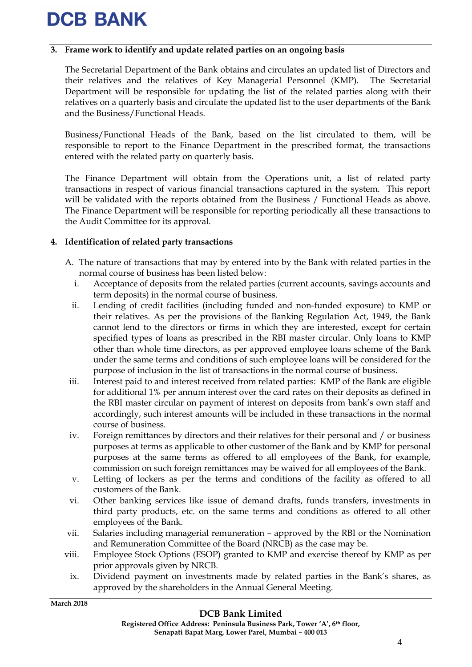#### **3. Frame work to identify and update related parties on an ongoing basis**

The Secretarial Department of the Bank obtains and circulates an updated list of Directors and their relatives and the relatives of Key Managerial Personnel (KMP). The Secretarial Department will be responsible for updating the list of the related parties along with their relatives on a quarterly basis and circulate the updated list to the user departments of the Bank and the Business/Functional Heads.

Business/Functional Heads of the Bank, based on the list circulated to them, will be responsible to report to the Finance Department in the prescribed format, the transactions entered with the related party on quarterly basis.

The Finance Department will obtain from the Operations unit, a list of related party transactions in respect of various financial transactions captured in the system. This report will be validated with the reports obtained from the Business / Functional Heads as above. The Finance Department will be responsible for reporting periodically all these transactions to the Audit Committee for its approval.

#### **4. Identification of related party transactions**

- A. The nature of transactions that may by entered into by the Bank with related parties in the normal course of business has been listed below:
	- i. Acceptance of deposits from the related parties (current accounts, savings accounts and term deposits) in the normal course of business.
	- ii. Lending of credit facilities (including funded and non-funded exposure) to KMP or their relatives. As per the provisions of the Banking Regulation Act, 1949, the Bank cannot lend to the directors or firms in which they are interested, except for certain specified types of loans as prescribed in the RBI master circular. Only loans to KMP other than whole time directors, as per approved employee loans scheme of the Bank under the same terms and conditions of such employee loans will be considered for the purpose of inclusion in the list of transactions in the normal course of business.
	- iii. Interest paid to and interest received from related parties: KMP of the Bank are eligible for additional 1% per annum interest over the card rates on their deposits as defined in the RBI master circular on payment of interest on deposits from bank's own staff and accordingly, such interest amounts will be included in these transactions in the normal course of business.
	- iv. Foreign remittances by directors and their relatives for their personal and / or business purposes at terms as applicable to other customer of the Bank and by KMP for personal purposes at the same terms as offered to all employees of the Bank, for example, commission on such foreign remittances may be waived for all employees of the Bank.
	- v. Letting of lockers as per the terms and conditions of the facility as offered to all customers of the Bank.
	- vi. Other banking services like issue of demand drafts, funds transfers, investments in third party products, etc. on the same terms and conditions as offered to all other employees of the Bank.
- vii. Salaries including managerial remuneration approved by the RBI or the Nomination and Remuneration Committee of the Board (NRCB) as the case may be.
- viii. Employee Stock Options (ESOP) granted to KMP and exercise thereof by KMP as per prior approvals given by NRCB.
- ix. Dividend payment on investments made by related parties in the Bank's shares, as approved by the shareholders in the Annual General Meeting.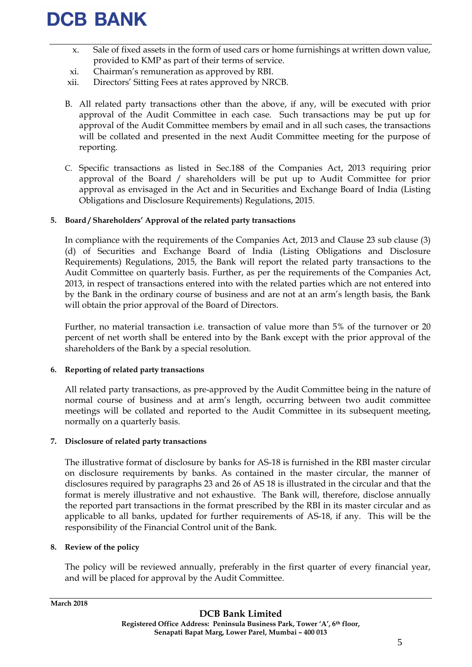- x. Sale of fixed assets in the form of used cars or home furnishings at written down value, provided to KMP as part of their terms of service.
- xi. Chairman's remuneration as approved by RBI.
- xii. Directors' Sitting Fees at rates approved by NRCB.
- B. All related party transactions other than the above, if any, will be executed with prior approval of the Audit Committee in each case. Such transactions may be put up for approval of the Audit Committee members by email and in all such cases, the transactions will be collated and presented in the next Audit Committee meeting for the purpose of reporting.
- C. Specific transactions as listed in Sec.188 of the Companies Act, 2013 requiring prior approval of the Board / shareholders will be put up to Audit Committee for prior approval as envisaged in the Act and in Securities and Exchange Board of India (Listing Obligations and Disclosure Requirements) Regulations, 2015.

#### **5. Board / Shareholders' Approval of the related party transactions**

In compliance with the requirements of the Companies Act, 2013 and Clause 23 sub clause (3) (d) of Securities and Exchange Board of India (Listing Obligations and Disclosure Requirements) Regulations, 2015, the Bank will report the related party transactions to the Audit Committee on quarterly basis. Further, as per the requirements of the Companies Act, 2013, in respect of transactions entered into with the related parties which are not entered into by the Bank in the ordinary course of business and are not at an arm's length basis, the Bank will obtain the prior approval of the Board of Directors.

Further, no material transaction i.e. transaction of value more than 5% of the turnover or 20 percent of net worth shall be entered into by the Bank except with the prior approval of the shareholders of the Bank by a special resolution.

#### **6. Reporting of related party transactions**

All related party transactions, as pre-approved by the Audit Committee being in the nature of normal course of business and at arm's length, occurring between two audit committee meetings will be collated and reported to the Audit Committee in its subsequent meeting, normally on a quarterly basis.

#### **7. Disclosure of related party transactions**

The illustrative format of disclosure by banks for AS-18 is furnished in the RBI master circular on disclosure requirements by banks. As contained in the master circular, the manner of disclosures required by paragraphs 23 and 26 of AS 18 is illustrated in the circular and that the format is merely illustrative and not exhaustive. The Bank will, therefore, disclose annually the reported part transactions in the format prescribed by the RBI in its master circular and as applicable to all banks, updated for further requirements of AS-18, if any. This will be the responsibility of the Financial Control unit of the Bank.

#### **8. Review of the policy**

The policy will be reviewed annually, preferably in the first quarter of every financial year, and will be placed for approval by the Audit Committee.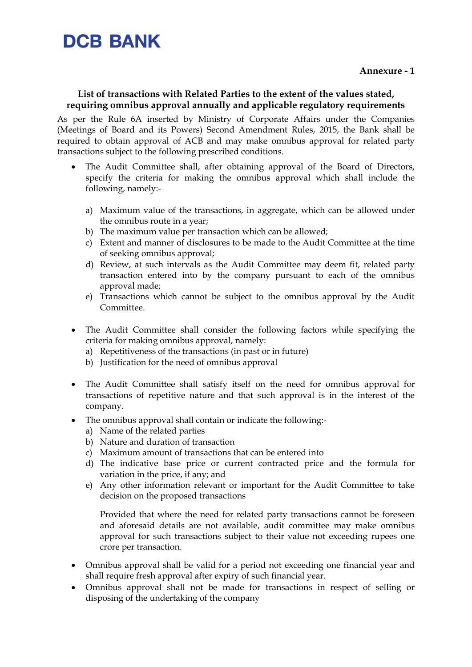#### **List of transactions with Related Parties to the extent of the values stated, requiring omnibus approval annually and applicable regulatory requirements**

As per the Rule 6A inserted by Ministry of Corporate Affairs under the Companies (Meetings of Board and its Powers) Second Amendment Rules, 2015, the Bank shall be required to obtain approval of ACB and may make omnibus approval for related party transactions subject to the following prescribed conditions.

- The Audit Committee shall, after obtaining approval of the Board of Directors, specify the criteria for making the omnibus approval which shall include the following, namely:
	- a) Maximum value of the transactions, in aggregate, which can be allowed under the omnibus route in a year;
	- b) The maximum value per transaction which can be allowed;
	- c) Extent and manner of disclosures to be made to the Audit Committee at the time of seeking omnibus approval;
	- d) Review, at such intervals as the Audit Committee may deem fit, related party transaction entered into by the company pursuant to each of the omnibus approval made;
	- e) Transactions which cannot be subject to the omnibus approval by the Audit Committee.
- The Audit Committee shall consider the following factors while specifying the criteria for making omnibus approval, namely:
	- a) Repetitiveness of the transactions (in past or in future)
	- b) Justification for the need of omnibus approval
- The Audit Committee shall satisfy itself on the need for omnibus approval for transactions of repetitive nature and that such approval is in the interest of the company.
- The omnibus approval shall contain or indicate the following:
	- a) Name of the related parties
	- b) Nature and duration of transaction
	- c) Maximum amount of transactions that can be entered into
	- d) The indicative base price or current contracted price and the formula for variation in the price, if any; and
	- e) Any other information relevant or important for the Audit Committee to take decision on the proposed transactions

Provided that where the need for related party transactions cannot be foreseen and aforesaid details are not available, audit committee may make omnibus approval for such transactions subject to their value not exceeding rupees one crore per transaction.

- Omnibus approval shall be valid for a period not exceeding one financial year and shall require fresh approval after expiry of such financial year.
- Omnibus approval shall not be made for transactions in respect of selling or disposing of the undertaking of the company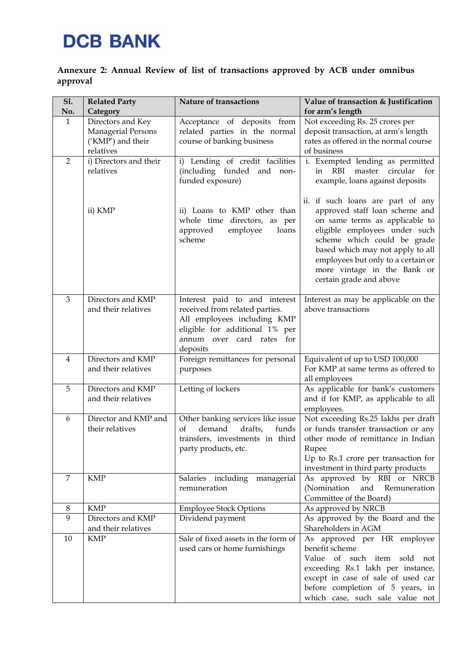#### **Annexure 2: Annual Review of list of transactions approved by ACB under omnibus approval**

| <b>S1.</b><br>No. | <b>Related Party</b><br>Category                                                 | <b>Nature of transactions</b>                                                                                                                                             | Value of transaction & Justification<br>for arm's length                                                                                                                                                                                                                                                  |
|-------------------|----------------------------------------------------------------------------------|---------------------------------------------------------------------------------------------------------------------------------------------------------------------------|-----------------------------------------------------------------------------------------------------------------------------------------------------------------------------------------------------------------------------------------------------------------------------------------------------------|
| $\mathbf{1}$      | Directors and Key<br><b>Managerial Persons</b><br>('KMP') and their<br>relatives | Acceptance of deposits from<br>related parties in the normal<br>course of banking business                                                                                | Not exceeding Rs. 25 crores per<br>deposit transaction, at arm's length<br>rates as offered in the normal course<br>of business                                                                                                                                                                           |
| 2                 | i) Directors and their<br>relatives                                              | i) Lending of credit facilities<br>(including funded and<br>non-<br>funded exposure)                                                                                      | i. Exempted lending as permitted<br><b>RBI</b><br>circular<br>master<br>for<br>in<br>example, loans against deposits                                                                                                                                                                                      |
|                   | ii) KMP                                                                          | ii) Loans to KMP other than<br>whole time directors, as per<br>employee<br>approved<br>loans<br>scheme                                                                    | ii. if such loans are part of any<br>approved staff loan scheme and<br>on same terms as applicable to<br>eligible employees under such<br>scheme which could be grade<br>based which may not apply to all<br>employees but only to a certain or<br>more vintage in the Bank or<br>certain grade and above |
| 3                 | Directors and KMP<br>and their relatives                                         | Interest paid to and interest<br>received from related parties.<br>All employees including KMP<br>eligible for additional 1% per<br>annum over card rates for<br>deposits | Interest as may be applicable on the<br>above transactions                                                                                                                                                                                                                                                |
| $\overline{4}$    | Directors and KMP<br>and their relatives                                         | Foreign remittances for personal<br>purposes                                                                                                                              | Equivalent of up to USD 100,000<br>For KMP at same terms as offered to<br>all employees                                                                                                                                                                                                                   |
| 5                 | Directors and KMP<br>and their relatives                                         | Letting of lockers                                                                                                                                                        | As applicable for bank's customers<br>and if for KMP, as applicable to all<br>employees.                                                                                                                                                                                                                  |
| 6                 | Director and KMP and<br>their relatives                                          | Other banking services like issue<br>demand<br>drafts,<br>funds<br>of<br>transfers, investments in third<br>party products, etc.                                          | Not exceeding Rs.25 lakhs per draft<br>or funds transfer transaction or any<br>other mode of remittance in Indian<br>Rupee<br>Up to Rs.1 crore per transaction for<br>investment in third party products                                                                                                  |
| 7                 | <b>KMP</b>                                                                       | Salaries including<br>managerial<br>remuneration                                                                                                                          | As approved by RBI or NRCB<br>(Nomination<br>and Remuneration<br>Committee of the Board)                                                                                                                                                                                                                  |
| 8                 | <b>KMP</b>                                                                       | <b>Employee Stock Options</b>                                                                                                                                             | As approved by NRCB                                                                                                                                                                                                                                                                                       |
| 9                 | Directors and KMP<br>and their relatives                                         | Dividend payment                                                                                                                                                          | As approved by the Board and the<br>Shareholders in AGM                                                                                                                                                                                                                                                   |
| 10                | <b>KMP</b>                                                                       | Sale of fixed assets in the form of<br>used cars or home furnishings                                                                                                      | As approved per HR employee<br>benefit scheme<br>Value of such item sold not<br>exceeding Rs.1 lakh per instance,<br>except in case of sale of used car<br>before completion of 5 years, in<br>which case, such sale value not                                                                            |